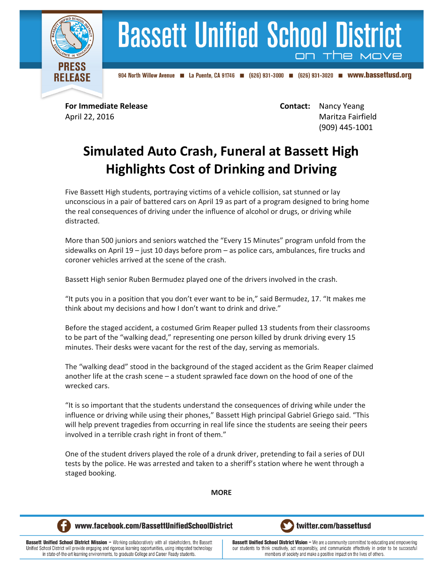

## **Bassett Unified School District** on the

904 North Willow Avenue 4 La Puente, CA 91746 (626) 931-3000 (626) 931-3020 **m** WWW.bassettusd.org

**For Immediate Release Contact:** Nancy Yeang April 22, 2016 Maritza Fairfield (909) 445-1001

## **Simulated Auto Crash, Funeral at Bassett High Highlights Cost of Drinking and Driving**

Five Bassett High students, portraying victims of a vehicle collision, sat stunned or lay unconscious in a pair of battered cars on April 19 as part of a program designed to bring home the real consequences of driving under the influence of alcohol or drugs, or driving while distracted.

More than 500 juniors and seniors watched the "Every 15 Minutes" program unfold from the sidewalks on April 19 – just 10 days before prom – as police cars, ambulances, fire trucks and coroner vehicles arrived at the scene of the crash.

Bassett High senior Ruben Bermudez played one of the drivers involved in the crash.

"It puts you in a position that you don't ever want to be in," said Bermudez, 17. "It makes me think about my decisions and how I don't want to drink and drive."

Before the staged accident, a costumed Grim Reaper pulled 13 students from their classrooms to be part of the "walking dead," representing one person killed by drunk driving every 15 minutes. Their desks were vacant for the rest of the day, serving as memorials.

The "walking dead" stood in the background of the staged accident as the Grim Reaper claimed another life at the crash scene – a student sprawled face down on the hood of one of the wrecked cars.

"It is so important that the students understand the consequences of driving while under the influence or driving while using their phones," Bassett High principal Gabriel Griego said. "This will help prevent tragedies from occurring in real life since the students are seeing their peers involved in a terrible crash right in front of them."

One of the student drivers played the role of a drunk driver, pretending to fail a series of DUI tests by the police. He was arrested and taken to a sheriff's station where he went through a staged booking.

**MORE**



www.facebook.com/BassettUnifiedSchoolDistrict

twitter.com/bassettusd

**Bassett Unified School District Mission - Working collaboratively with all stakeholders, the Bassett** Unified School District will provide engaging and rigorous learning opportunities, using integrated technology in state-of-the-art learning environments, to graduate College and Career Ready students.

**Bassett Unified School District Vision - We are a community committed to educating and empowering** our students to think creatively, act responsibly, and communicate effectively in order to be successful members of society and make a positive impact on the lives of others.